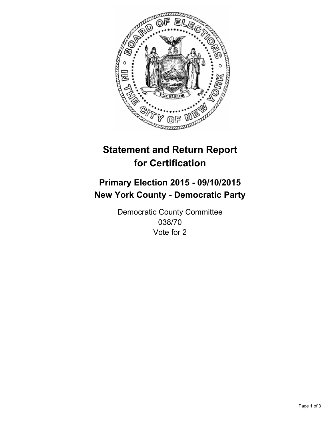

# **Statement and Return Report for Certification**

## **Primary Election 2015 - 09/10/2015 New York County - Democratic Party**

Democratic County Committee 038/70 Vote for 2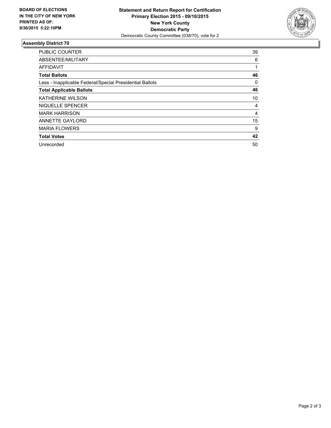

### **Assembly District 70**

| <b>PUBLIC COUNTER</b>                                    | 39 |
|----------------------------------------------------------|----|
| ABSENTEE/MILITARY                                        | 6  |
| <b>AFFIDAVIT</b>                                         |    |
| <b>Total Ballots</b>                                     | 46 |
| Less - Inapplicable Federal/Special Presidential Ballots | 0  |
| <b>Total Applicable Ballots</b>                          | 46 |
| <b>KATHERINE WILSON</b>                                  | 10 |
| NIQUELLE SPENCER                                         | 4  |
| <b>MARK HARRISON</b>                                     | 4  |
| <b>ANNETTE GAYLORD</b>                                   | 15 |
| <b>MARIA FLOWERS</b>                                     | 9  |
| <b>Total Votes</b>                                       | 42 |
| Unrecorded                                               | 50 |